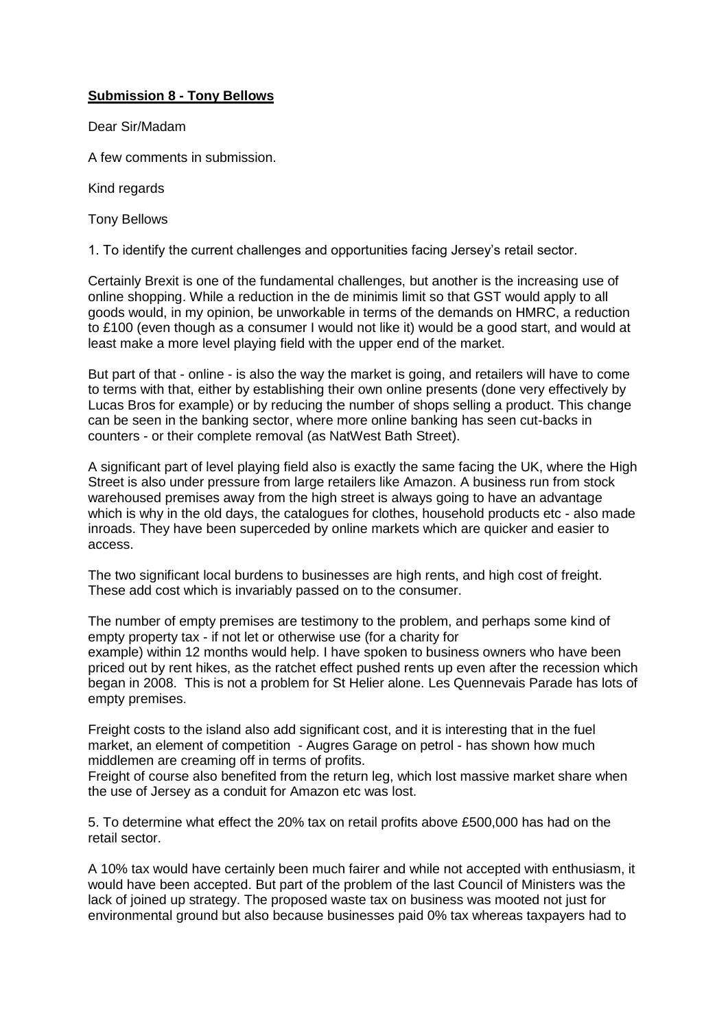## **Submission 8 - Tony Bellows**

Dear Sir/Madam

A few comments in submission.

Kind regards

Tony Bellows

1. To identify the current challenges and opportunities facing Jersey's retail sector.

Certainly Brexit is one of the fundamental challenges, but another is the increasing use of online shopping. While a reduction in the de minimis limit so that GST would apply to all goods would, in my opinion, be unworkable in terms of the demands on HMRC, a reduction to £100 (even though as a consumer I would not like it) would be a good start, and would at least make a more level playing field with the upper end of the market.

But part of that - online - is also the way the market is going, and retailers will have to come to terms with that, either by establishing their own online presents (done very effectively by Lucas Bros for example) or by reducing the number of shops selling a product. This change can be seen in the banking sector, where more online banking has seen cut-backs in counters - or their complete removal (as NatWest Bath Street).

A significant part of level playing field also is exactly the same facing the UK, where the High Street is also under pressure from large retailers like Amazon. A business run from stock warehoused premises away from the high street is always going to have an advantage which is why in the old days, the catalogues for clothes, household products etc - also made inroads. They have been superceded by online markets which are quicker and easier to access.

The two significant local burdens to businesses are high rents, and high cost of freight. These add cost which is invariably passed on to the consumer.

The number of empty premises are testimony to the problem, and perhaps some kind of empty property tax - if not let or otherwise use (for a charity for example) within 12 months would help. I have spoken to business owners who have been priced out by rent hikes, as the ratchet effect pushed rents up even after the recession which began in 2008. This is not a problem for St Helier alone. Les Quennevais Parade has lots of empty premises.

Freight costs to the island also add significant cost, and it is interesting that in the fuel market, an element of competition - Augres Garage on petrol - has shown how much middlemen are creaming off in terms of profits.

Freight of course also benefited from the return leg, which lost massive market share when the use of Jersey as a conduit for Amazon etc was lost.

5. To determine what effect the 20% tax on retail profits above £500,000 has had on the retail sector.

A 10% tax would have certainly been much fairer and while not accepted with enthusiasm, it would have been accepted. But part of the problem of the last Council of Ministers was the lack of joined up strategy. The proposed waste tax on business was mooted not just for environmental ground but also because businesses paid 0% tax whereas taxpayers had to